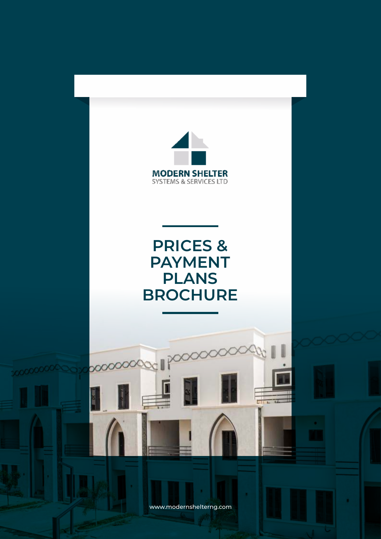

www.modernshelterng.com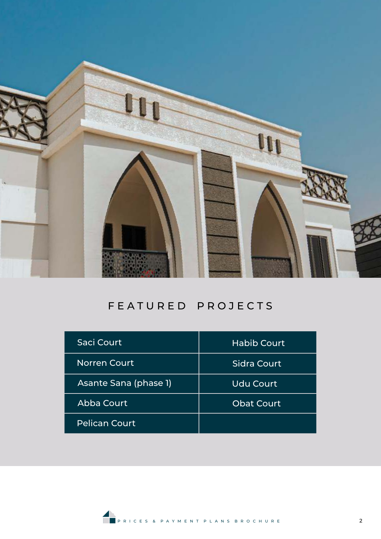

# FEATURED PROJECTS

| Saci Court            | <b>Habib Court</b> |
|-----------------------|--------------------|
| <b>Norren Court</b>   | Sidra Court        |
| Asante Sana (phase 1) | <b>Udu Court</b>   |
| Abba Court            | <b>Obat Court</b>  |
| <b>Pelican Court</b>  |                    |

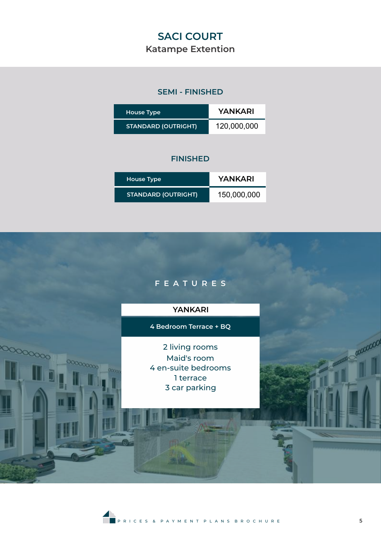# **SACI COURT**

## **Katampe Extention**

## **SEMI - FINISHED**

| <b>House Type</b>          | YANKARI     |
|----------------------------|-------------|
| <b>STANDARD (OUTRIGHT)</b> | 120,000,000 |

| <b>House Type</b>          | YANKARI     |
|----------------------------|-------------|
| <b>STANDARD (OUTRIGHT)</b> | 150,000,000 |



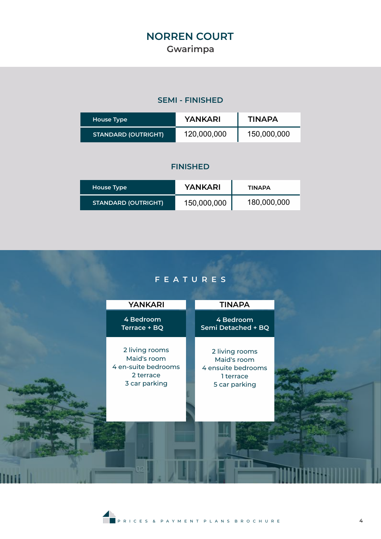# **NORREN COURT Gwarimpa**

## **SEMI - FINISHED**

| House Type                 | YANKARI     | TINAPA      |
|----------------------------|-------------|-------------|
| <b>STANDARD (OUTRIGHT)</b> | 120,000,000 | 150,000,000 |

## **FINISHED**

| House Type                 | <b>YANKARI</b> | TINAPA      |
|----------------------------|----------------|-------------|
| <b>STANDARD (OUTRIGHT)</b> | 150,000,000    | 180,000,000 |

## **F E A T U R E S**

| <b>YANKARI</b>                                                                     | <b>TINAPA</b>                                                                     |  |
|------------------------------------------------------------------------------------|-----------------------------------------------------------------------------------|--|
| 4 Bedroom<br>Terrace + BQ                                                          | 4 Bedroom<br>Semi Detached + BQ                                                   |  |
| 2 living rooms<br>Maid's room<br>4 en-suite bedrooms<br>2 terrace<br>3 car parking | 2 living rooms<br>Maid's room<br>4 ensuite bedrooms<br>1 terrace<br>5 car parking |  |
|                                                                                    |                                                                                   |  |

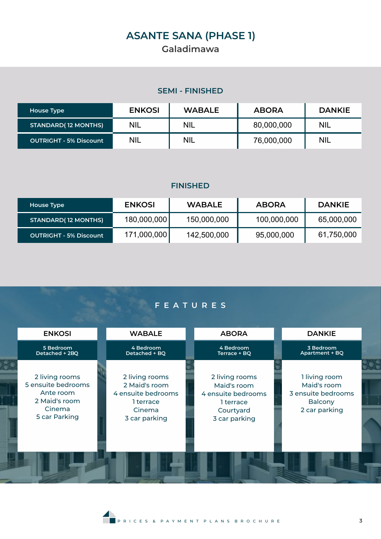# **ASANTE SANA (PHASE 1)**

## **Galadimawa**

## **SEMI - FINISHED**

| House Type                    | <b>ENKOSI</b> | <b>WABALE</b> | <b>ABORA</b> | <b>DANKIE</b> |
|-------------------------------|---------------|---------------|--------------|---------------|
| <b>STANDARD(12 MONTHS)</b>    | <b>NIL</b>    | <b>NIL</b>    | 80,000,000   | <b>NIL</b>    |
| <b>OUTRIGHT - 5% Discount</b> | <b>NIL</b>    | <b>NIL</b>    | 76,000,000   | <b>NIL</b>    |

#### **FINISHED**

| House Type                    | <b>ENKOSI</b> | <b>WABALE</b> | <b>ABORA</b> | <b>DANKIE</b> |
|-------------------------------|---------------|---------------|--------------|---------------|
| <b>STANDARD(12 MONTHS)</b>    | 180,000,000   | 150,000,000   | 100,000,000  | 65,000,000    |
| <b>OUTRIGHT - 5% Discount</b> | 171,000,000   | 142,500,000   | 95,000,000   | 61,750,000    |

## **F E A T U R E S**

| <b>ENKOSI</b>                                                                                 | <b>WABALE</b>                                                                                 | <b>ABORA</b>                                                                                   | <b>DANKIE</b>                                                                         |  |
|-----------------------------------------------------------------------------------------------|-----------------------------------------------------------------------------------------------|------------------------------------------------------------------------------------------------|---------------------------------------------------------------------------------------|--|
| 5 Bedroom<br>Detached + 2BQ                                                                   | 4 Bedroom<br>Detached + BQ                                                                    | 4 Bedroom<br>Terrace + BQ                                                                      | 3 Bedroom<br>Apartment + BQ                                                           |  |
| 2 living rooms<br>5 ensuite bedrooms<br>Ante room<br>2 Maid's room<br>Cinema<br>5 car Parking | 2 living rooms<br>2 Maid's room<br>4 ensuite bedrooms<br>1 terrace<br>Cinema<br>3 car parking | 2 living rooms<br>Maid's room<br>4 ensuite bedrooms<br>1 terrace<br>Courtyard<br>3 car parking | 1 living room<br>Maid's room<br>3 ensuite bedrooms<br><b>Balcony</b><br>2 car parking |  |
|                                                                                               |                                                                                               |                                                                                                |                                                                                       |  |
|                                                                                               |                                                                                               |                                                                                                |                                                                                       |  |



Ē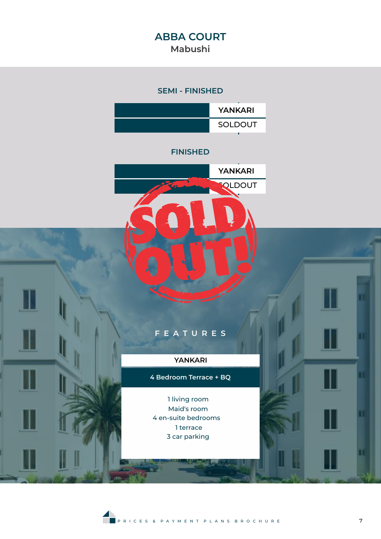## **ABBA COURT Mabushi**

#### **SEMI - FINISHED**



#### **FINISHED**



## **F E A T U R E S**

#### **YANKARI**

**4 Bedroom Terrace + BQ**

1 living room Maid's room 4 en-suite bedrooms 1 terrace 3 car parking

π

T

m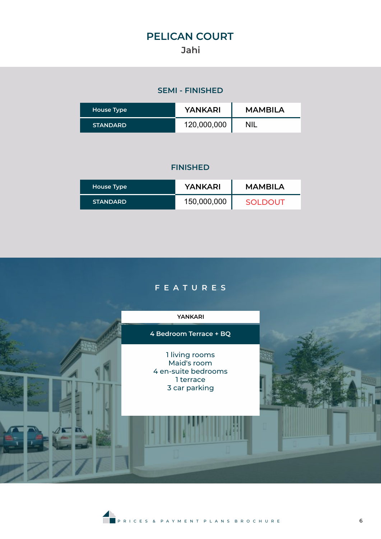# **PELICAN COURT Jahi**

## **SEMI - FINISHED**

| House Type      | YANKARI     | <b>MAMBILA</b> |
|-----------------|-------------|----------------|
| <b>STANDARD</b> | 120,000,000 | NIL            |

| House Type      | YANKARI     | <b>MAMBILA</b> |
|-----------------|-------------|----------------|
| <b>STANDARD</b> | 150,000,000 | <b>SOLDOUT</b> |



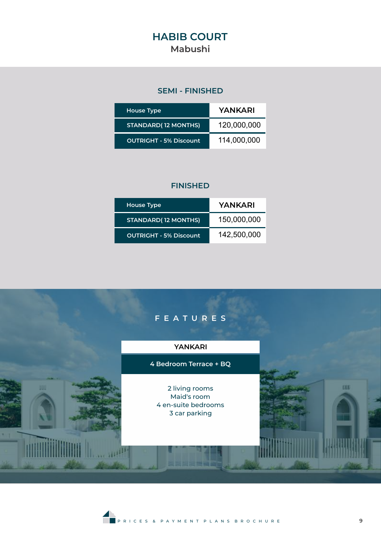## **HABIB COURT Mabushi**

## **SEMI - FINISHED**

| <b>House Type</b>             | YANKARI     |
|-------------------------------|-------------|
| <b>STANDARD(12 MONTHS)</b>    | 120,000,000 |
| <b>OUTRIGHT - 5% Discount</b> | 114,000,000 |

| <b>House Type</b>             | YANKARI     |
|-------------------------------|-------------|
| <b>STANDARD(12 MONTHS)</b>    | 150,000,000 |
| <b>OUTRIGHT - 5% Discount</b> | 142,500,000 |



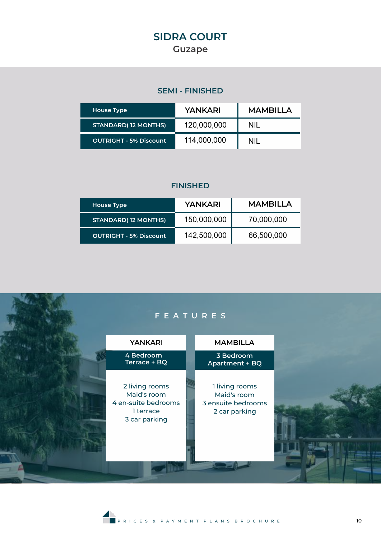## **SEMI - FINISHED**

| House Type                  | YANKARI     | <b>MAMBILLA</b> |
|-----------------------------|-------------|-----------------|
| <b>STANDARD</b> (12 MONTHS) | 120,000,000 | NII.            |
| OUTRIGHT - 5% Discount      | 114,000,000 | NII.            |

| House Type                    | YANKARI     | <b>MAMBILLA</b> |
|-------------------------------|-------------|-----------------|
| <b>STANDARD(12 MONTHS)</b>    | 150,000,000 | 70,000,000      |
| <b>OUTRIGHT - 5% Discount</b> | 142,500,000 | 66,500,000      |



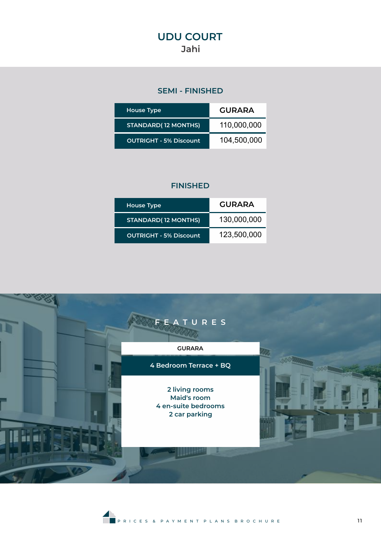## **SEMI - FINISHED**

| <b>House Type</b>             | <b>GURARA</b> |
|-------------------------------|---------------|
| <b>STANDARD(12 MONTHS)</b>    | 110,000,000   |
| <b>OUTRIGHT - 5% Discount</b> | 104,500,000   |

| <b>House Type</b>             | <b>GURARA</b> |
|-------------------------------|---------------|
| <b>STANDARD</b> (12 MONTHS)   | 130,000,000   |
| <b>OUTRIGHT - 5% Discount</b> | 123,500,000   |



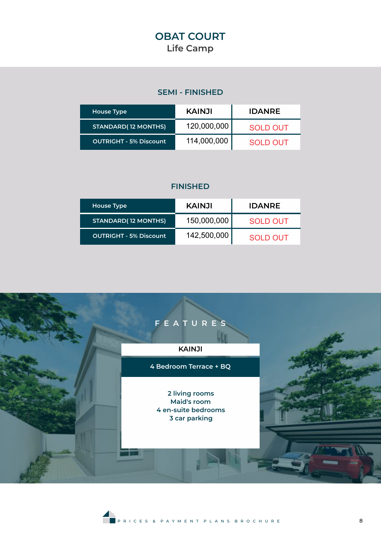## **SEMI - FINISHED**

| House Type                    | <b>KAINJI</b> | <b>IDANRE</b> |
|-------------------------------|---------------|---------------|
| <b>STANDARD(12 MONTHS)</b>    | 120,000,000   | SOLD OUT      |
| <b>OUTRIGHT - 5% Discount</b> | 114,000,000   | SOLD OUT      |

| House Type                    | <b>KAINJI</b> | <b>IDANRE</b> |
|-------------------------------|---------------|---------------|
| <b>STANDARD(12 MONTHS)</b>    | 150,000,000   | SOLD OUT      |
| <b>OUTRIGHT - 5% Discount</b> | 142,500,000   | SOLD OUT      |